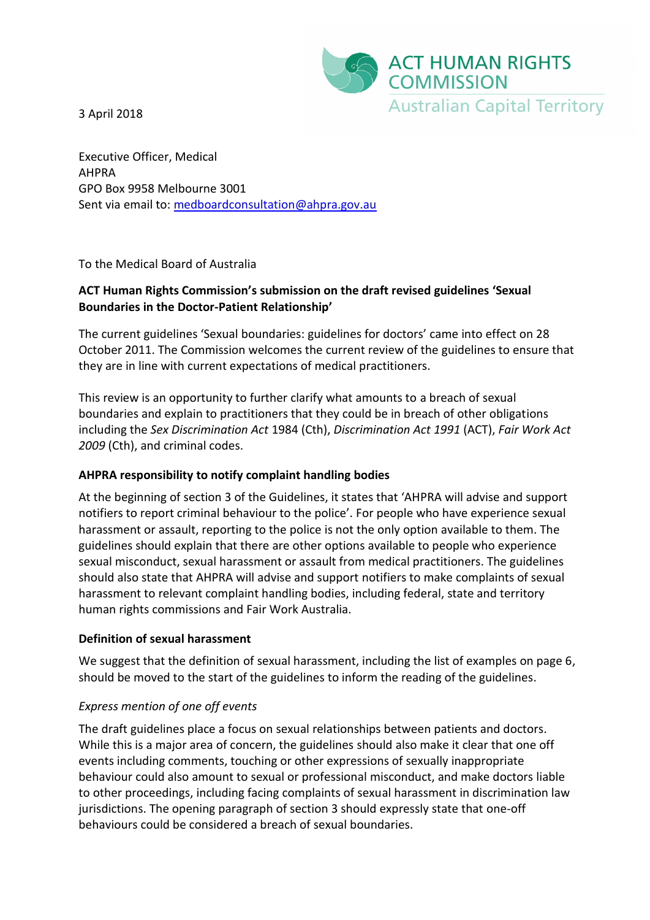

3 April 2018

Executive Officer, Medical AHPRA GPO Box 9958 Melbourne 3001 Sent via email to: [medboardconsultation@ahpra.gov.au](mailto:medboardconsultation@ahpra.gov.au)

To the Medical Board of Australia

# **ACT Human Rights Commission's submission on the draft revised guidelines 'Sexual Boundaries in the Doctor-Patient Relationship'**

The current guidelines 'Sexual boundaries: guidelines for doctors' came into effect on 28 October 2011. The Commission welcomes the current review of the guidelines to ensure that they are in line with current expectations of medical practitioners.

This review is an opportunity to further clarify what amounts to a breach of sexual boundaries and explain to practitioners that they could be in breach of other obligations including the *Sex Discrimination Act* 1984 (Cth), *Discrimination Act 1991* (ACT), *Fair Work Act 2009* (Cth), and criminal codes.

## **AHPRA responsibility to notify complaint handling bodies**

At the beginning of section 3 of the Guidelines, it states that 'AHPRA will advise and support notifiers to report criminal behaviour to the police'. For people who have experience sexual harassment or assault, reporting to the police is not the only option available to them. The guidelines should explain that there are other options available to people who experience sexual misconduct, sexual harassment or assault from medical practitioners. The guidelines should also state that AHPRA will advise and support notifiers to make complaints of sexual harassment to relevant complaint handling bodies, including federal, state and territory human rights commissions and Fair Work Australia.

#### **Definition of sexual harassment**

We suggest that the definition of sexual harassment, including the list of examples on page 6, should be moved to the start of the guidelines to inform the reading of the guidelines.

## *Express mention of one off events*

The draft guidelines place a focus on sexual relationships between patients and doctors. While this is a major area of concern, the guidelines should also make it clear that one off events including comments, touching or other expressions of sexually inappropriate behaviour could also amount to sexual or professional misconduct, and make doctors liable to other proceedings, including facing complaints of sexual harassment in discrimination law jurisdictions. The opening paragraph of section 3 should expressly state that one-off behaviours could be considered a breach of sexual boundaries.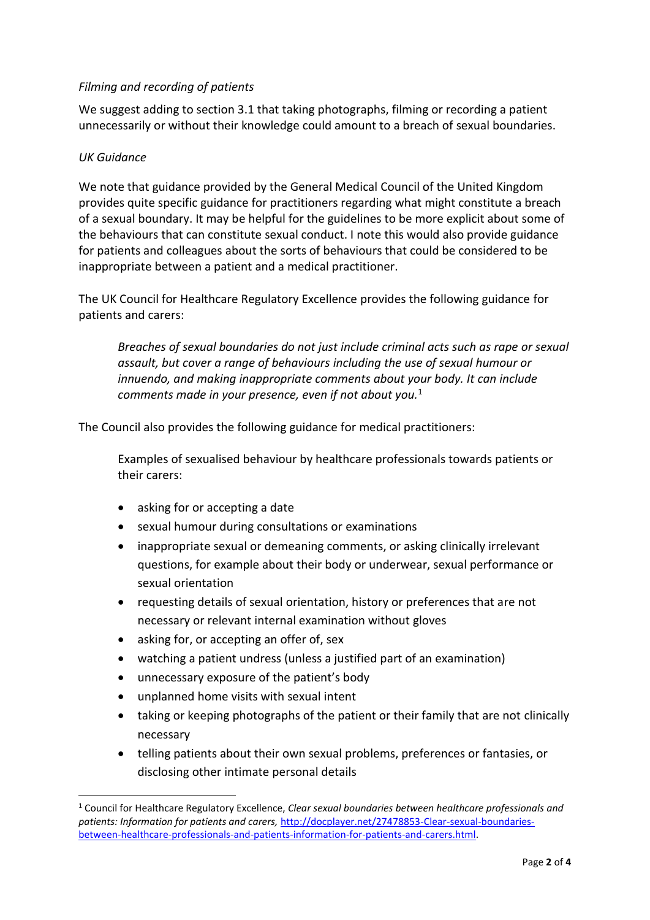## *Filming and recording of patients*

We suggest adding to section 3.1 that taking photographs, filming or recording a patient unnecessarily or without their knowledge could amount to a breach of sexual boundaries.

#### *UK Guidance*

**.** 

We note that guidance provided by the General Medical Council of the United Kingdom provides quite specific guidance for practitioners regarding what might constitute a breach of a sexual boundary. It may be helpful for the guidelines to be more explicit about some of the behaviours that can constitute sexual conduct. I note this would also provide guidance for patients and colleagues about the sorts of behaviours that could be considered to be inappropriate between a patient and a medical practitioner.

The UK Council for Healthcare Regulatory Excellence provides the following guidance for patients and carers:

*Breaches of sexual boundaries do not just include criminal acts such as rape or sexual assault, but cover a range of behaviours including the use of sexual humour or innuendo, and making inappropriate comments about your body. It can include comments made in your presence, even if not about you.*<sup>1</sup>

The Council also provides the following guidance for medical practitioners:

Examples of sexualised behaviour by healthcare professionals towards patients or their carers:

- asking for or accepting a date
- sexual humour during consultations or examinations
- inappropriate sexual or demeaning comments, or asking clinically irrelevant questions, for example about their body or underwear, sexual performance or sexual orientation
- requesting details of sexual orientation, history or preferences that are not necessary or relevant internal examination without gloves
- asking for, or accepting an offer of, sex
- watching a patient undress (unless a justified part of an examination)
- unnecessary exposure of the patient's body
- unplanned home visits with sexual intent
- taking or keeping photographs of the patient or their family that are not clinically necessary
- telling patients about their own sexual problems, preferences or fantasies, or disclosing other intimate personal details

<sup>1</sup> Council for Healthcare Regulatory Excellence, *Clear sexual boundaries between healthcare professionals and patients: Information for patients and carers,* [http://docplayer.net/27478853-Clear-sexual-boundaries](http://docplayer.net/27478853-Clear-sexual-boundaries-between-healthcare-professionals-and-patients-information-for-patients-and-carers.html)[between-healthcare-professionals-and-patients-information-for-patients-and-carers.html.](http://docplayer.net/27478853-Clear-sexual-boundaries-between-healthcare-professionals-and-patients-information-for-patients-and-carers.html)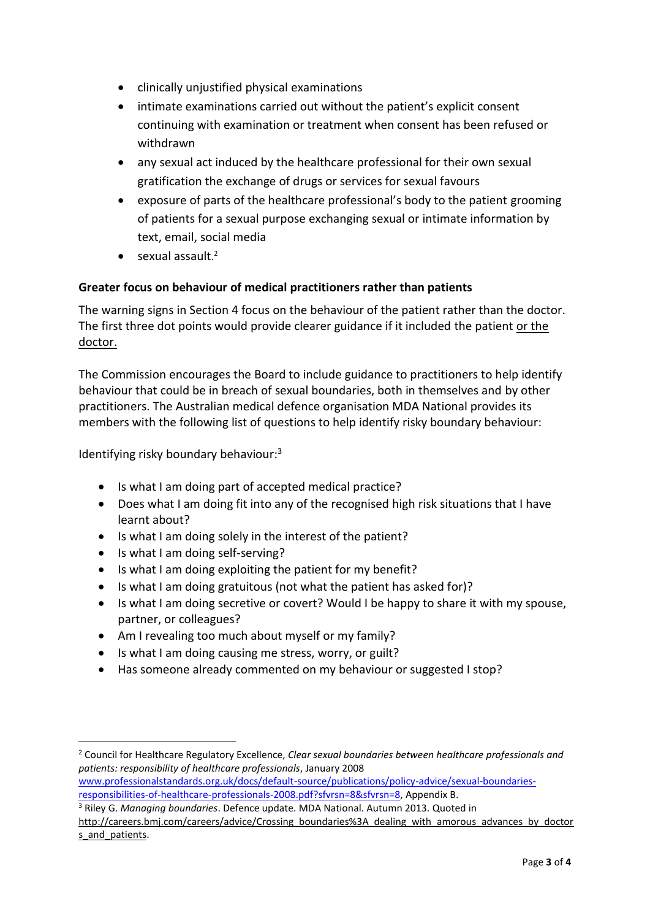- clinically unjustified physical examinations
- intimate examinations carried out without the patient's explicit consent continuing with examination or treatment when consent has been refused or withdrawn
- any sexual act induced by the healthcare professional for their own sexual gratification the exchange of drugs or services for sexual favours
- exposure of parts of the healthcare professional's body to the patient grooming of patients for a sexual purpose exchanging sexual or intimate information by text, email, social media
- sexual assault.<sup>2</sup>

## **Greater focus on behaviour of medical practitioners rather than patients**

The warning signs in Section 4 focus on the behaviour of the patient rather than the doctor. The first three dot points would provide clearer guidance if it included the patient or the doctor.

The Commission encourages the Board to include guidance to practitioners to help identify behaviour that could be in breach of sexual boundaries, both in themselves and by other practitioners. The Australian medical defence organisation MDA National provides its members with the following list of questions to help identify risky boundary behaviour:

Identifying risky boundary behaviour:<sup>3</sup>

- Is what I am doing part of accepted medical practice?
- Does what I am doing fit into any of the recognised high risk situations that I have learnt about?
- Is what I am doing solely in the interest of the patient?
- Is what I am doing self-serving?

 $\overline{a}$ 

- Is what I am doing exploiting the patient for my benefit?
- Is what I am doing gratuitous (not what the patient has asked for)?
- Is what I am doing secretive or covert? Would I be happy to share it with my spouse, partner, or colleagues?
- Am I revealing too much about myself or my family?
- Is what I am doing causing me stress, worry, or guilt?
- Has someone already commented on my behaviour or suggested I stop?

<sup>2</sup> Council for Healthcare Regulatory Excellence, *Clear sexual boundaries between healthcare professionals and patients: responsibility of healthcare professionals*, January 2008

[www.professionalstandards.org.uk/docs/default-source/publications/policy-advice/sexual-boundaries](http://www.professionalstandards.org.uk/docs/default-source/publications/policy-advice/sexual-boundaries-responsibilities-of-healthcare-professionals-2008.pdf?sfvrsn=8&sfvrsn=8)[responsibilities-of-healthcare-professionals-2008.pdf?sfvrsn=8&sfvrsn=8,](http://www.professionalstandards.org.uk/docs/default-source/publications/policy-advice/sexual-boundaries-responsibilities-of-healthcare-professionals-2008.pdf?sfvrsn=8&sfvrsn=8) Appendix B.

<sup>3</sup> Riley G. *Managing boundaries*. Defence update. MDA National. Autumn 2013. Quoted in [http://careers.bmj.com/careers/advice/Crossing\\_boundaries%3A\\_dealing\\_with\\_amorous\\_advances\\_by\\_doctor](http://careers.bmj.com/careers/advice/Crossing_boundaries%3A_dealing_with_amorous_advances_by_doctors_and_patients) s and patients.